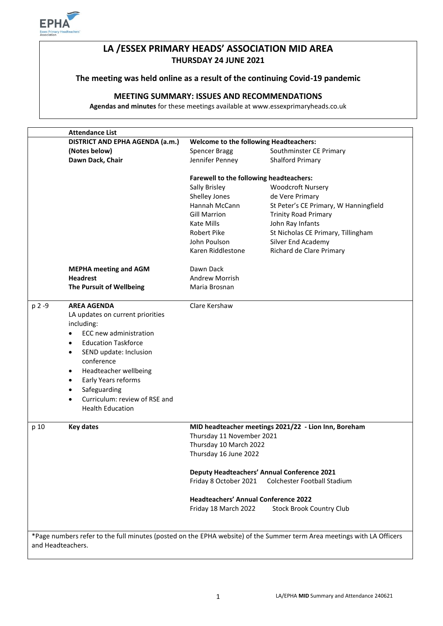

# **LA /ESSEX PRIMARY HEADS' ASSOCIATION MID AREA THURSDAY 24 JUNE 2021**

## **The meeting was held online as a result of the continuing Covid-19 pandemic**

# **MEETING SUMMARY: ISSUES AND RECOMMENDATIONS**

**Agendas and minutes** for these meetings available at www.essexprimaryheads.co.uk

|                                                                                                                                             | <b>Attendance List</b>                     |                                               |                                                      |  |
|---------------------------------------------------------------------------------------------------------------------------------------------|--------------------------------------------|-----------------------------------------------|------------------------------------------------------|--|
|                                                                                                                                             | DISTRICT AND EPHA AGENDA (a.m.)            | <b>Welcome to the following Headteachers:</b> |                                                      |  |
|                                                                                                                                             | (Notes below)                              | Spencer Bragg                                 | Southminster CE Primary                              |  |
|                                                                                                                                             | Dawn Dack, Chair                           | Jennifer Penney                               | Shalford Primary                                     |  |
|                                                                                                                                             |                                            | Farewell to the following headteachers:       |                                                      |  |
|                                                                                                                                             |                                            | Sally Brisley                                 | <b>Woodcroft Nursery</b>                             |  |
|                                                                                                                                             |                                            | Shelley Jones                                 | de Vere Primary                                      |  |
|                                                                                                                                             |                                            | Hannah McCann                                 | St Peter's CE Primary, W Hanningfield                |  |
|                                                                                                                                             |                                            | <b>Gill Marrion</b>                           | <b>Trinity Road Primary</b>                          |  |
|                                                                                                                                             |                                            | Kate Mills                                    | John Ray Infants                                     |  |
|                                                                                                                                             |                                            | Robert Pike                                   | St Nicholas CE Primary, Tillingham                   |  |
|                                                                                                                                             |                                            | John Poulson                                  | Silver End Academy                                   |  |
|                                                                                                                                             |                                            | Karen Riddlestone                             | Richard de Clare Primary                             |  |
|                                                                                                                                             | <b>MEPHA meeting and AGM</b>               | Dawn Dack                                     |                                                      |  |
|                                                                                                                                             | <b>Headrest</b>                            | <b>Andrew Morrish</b>                         |                                                      |  |
|                                                                                                                                             | The Pursuit of Wellbeing                   | Maria Brosnan                                 |                                                      |  |
| p 2 -9                                                                                                                                      | <b>AREA AGENDA</b>                         | Clare Kershaw                                 |                                                      |  |
|                                                                                                                                             | LA updates on current priorities           |                                               |                                                      |  |
|                                                                                                                                             | including:                                 |                                               |                                                      |  |
|                                                                                                                                             | ECC new administration<br>٠                |                                               |                                                      |  |
|                                                                                                                                             | <b>Education Taskforce</b><br>$\bullet$    |                                               |                                                      |  |
|                                                                                                                                             | SEND update: Inclusion<br>$\bullet$        |                                               |                                                      |  |
|                                                                                                                                             | conference                                 |                                               |                                                      |  |
|                                                                                                                                             | Headteacher wellbeing<br>$\bullet$         |                                               |                                                      |  |
|                                                                                                                                             | Early Years reforms<br>٠                   |                                               |                                                      |  |
|                                                                                                                                             | Safeguarding<br>$\bullet$                  |                                               |                                                      |  |
|                                                                                                                                             | Curriculum: review of RSE and<br>$\bullet$ |                                               |                                                      |  |
|                                                                                                                                             | <b>Health Education</b>                    |                                               |                                                      |  |
|                                                                                                                                             |                                            |                                               |                                                      |  |
| p 10                                                                                                                                        | <b>Key dates</b>                           |                                               | MID headteacher meetings 2021/22 - Lion Inn, Boreham |  |
|                                                                                                                                             |                                            | Thursday 11 November 2021                     |                                                      |  |
|                                                                                                                                             |                                            | Thursday 10 March 2022                        |                                                      |  |
|                                                                                                                                             |                                            | Thursday 16 June 2022                         |                                                      |  |
|                                                                                                                                             |                                            |                                               | <b>Deputy Headteachers' Annual Conference 2021</b>   |  |
|                                                                                                                                             |                                            | Friday 8 October 2021                         | Colchester Football Stadium                          |  |
|                                                                                                                                             |                                            | <b>Headteachers' Annual Conference 2022</b>   |                                                      |  |
|                                                                                                                                             |                                            | Friday 18 March 2022                          | <b>Stock Brook Country Club</b>                      |  |
|                                                                                                                                             |                                            |                                               |                                                      |  |
| *Page numbers refer to the full minutes (posted on the EPHA website) of the Summer term Area meetings with LA Officers<br>and Headteachers. |                                            |                                               |                                                      |  |
|                                                                                                                                             |                                            |                                               |                                                      |  |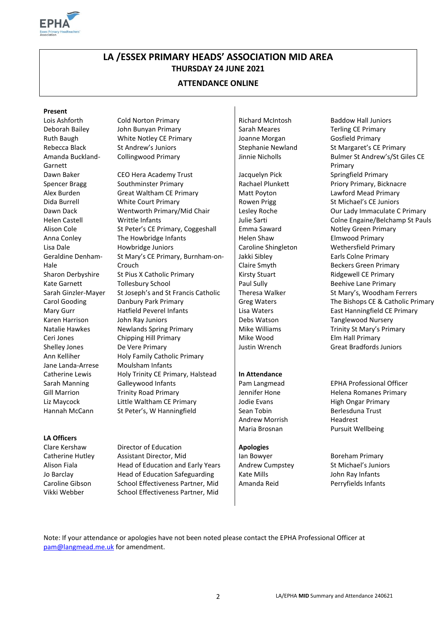

# **LA /ESSEX PRIMARY HEADS' ASSOCIATION MID AREA THURSDAY 24 JUNE 2021**

### **ATTENDANCE ONLINE**

#### **Present**

Amanda Buckland-Garnett Geraldine Denham-Hale Jane Landa-Arrese Moulsham Infants

Lois Ashforth Cold Norton Primary Richard McIntosh Baddow Hall Juniors Deborah Bailey John Bunyan Primary Sarah Meares Terling CE Primary Ruth Baugh **White Notley CE Primary** Joanne Morgan Gosfield Primary

Dawn Baker CEO Hera Academy Trust Jacquelyn Pick Springfield Primary Spencer Bragg Southminster Primary Rachael Plunkett Priory Primary, Bicknacre Alex Burden Great Waltham CE Primary Matt Poyton Lawford Mead Primary Dida Burrell **Example 20 White Court Primary** Rowen Prigg St Michael's CE Juniors Dawn Dack Wentworth Primary/Mid Chair Lesley Roche Cour Lady Immaculate C Primary Helen Castell **Writtle Infants** VIII **No. 2016** Julie Sarti Colne Engaine/Belchamp St Pauls Alison Cole St Peter's CE Primary, Coggeshall Emma Saward Notley Green Primary Anna Conley The Howbridge Infants Helen Shaw Elmwood Primary Lisa Dale **Howbridge Juniors** Caroline Shingleton Wethersfield Primary St Mary's CE Primary, Burnham-on-Crouch Sharon Derbyshire St Pius X Catholic Primary Kirsty Stuart Ridgewell CE Primary Kate Garnett Tollesbury School Paul Sully Paul Sully Beehive Lane Primary Sarah Ginzler-Mayer St Joseph's and St Francis Catholic | Theresa Walker St Mary's, Woodham Ferrers Carol Gooding **Danbury Park Primary Carol Greg Waters** The Bishops CE & Catholic Primary Mary Gurr **Hatfield Peverel Infants** Hatfield CE Primary Lisa Waters East Hanningfield CE Primary Karen Harrison John Ray Juniors Debs Watson Tanglewood Nursery Natalie Hawkes Newlands Spring Primary **Nike Williams** Matalie Hawkes Newlands Spring Primary Ceri Jones Chipping Hill Primary Nike Wood Elm Hall Primary Shelley Jones **De Vere Primary Community** Justin Wrench Great Bradfords Juniors Ann Kelliher Holy Family Catholic Primary Catherine Lewis **Holy Trinity CE Primary, Halstead** | In Attendance Sarah Manning Galleywood Infants **Pam Langmead** EPHA Professional Officer Gill Marrion **Trinity Road Primary State Community** Jennifer Hone **Helena Romanes Primary** Liz Maycock Little Waltham CE Primary Jodie Evans High Ongar Primary Hannah McCann St Peter's, W Hanningfield Sean Tobin Serlesduna Trust

Jakki Sibley Claire Smyth

Andrew Morrish Headrest

Rebecca Black St Andrew's Juniors State Stephanie Newland St Margaret's CE Primary Collingwood Primary **Collingwood Primary** Jinnie Nicholls Bulmer St Andrew's/St Giles CE Primary Earls Colne Primary Beckers Green Primary

Maria Brosnan Pursuit Wellbeing

Note: If your attendance or apologies have not been noted please contact the EPHA Professional Officer at [pam@langmead.me.uk](mailto:pam@langmead.me.uk) for amendment.

**LA Officers**

Clare Kershaw Director of Education **Apologies** Catherine Hutley Assistant Director, Mid Ian Bowyer Boreham Primary Alison Fiala **Head of Education and Early Years** Andrew Cumpstey St Michael's Juniors Jo Barclay **Head of Education Safeguarding** Kate Mills **Kate Mills** John Ray Infants Caroline Gibson School Effectiveness Partner, Mid | Amanda Reid Perryfields Infants Vikki Webber School Effectiveness Partner, Mid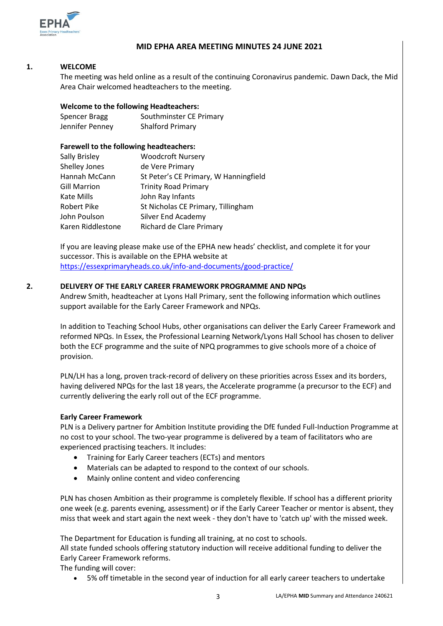

#### **MID EPHA AREA MEETING MINUTES 24 JUNE 2021**

#### **1. WELCOME**

The meeting was held online as a result of the continuing Coronavirus pandemic. Dawn Dack, the Mid Area Chair welcomed headteachers to the meeting.

#### **Welcome to the following Headteachers:**

| <b>Spencer Bragg</b> | Southminster CE Primary |
|----------------------|-------------------------|
| Jennifer Penney      | <b>Shalford Primary</b> |

#### **Farewell to the following headteachers:**

| Sally Brisley       | <b>Woodcroft Nursery</b>              |
|---------------------|---------------------------------------|
| Shelley Jones       | de Vere Primary                       |
| Hannah McCann       | St Peter's CE Primary, W Hanningfield |
| <b>Gill Marrion</b> | <b>Trinity Road Primary</b>           |
| Kate Mills          | John Ray Infants                      |
| Robert Pike         | St Nicholas CE Primary, Tillingham    |
| John Poulson        | Silver End Academy                    |
| Karen Riddlestone   | Richard de Clare Primary              |

If you are leaving please make use of the EPHA new heads' checklist, and complete it for your successor. This is available on the EPHA website at <https://essexprimaryheads.co.uk/info-and-documents/good-practice/>

#### **2. DELIVERY OF THE EARLY CAREER FRAMEWORK PROGRAMME AND NPQs**

Andrew Smith, headteacher at Lyons Hall Primary, sent the following information which outlines support available for the Early Career Framework and NPQs.

In addition to Teaching School Hubs, other organisations can deliver the Early Career Framework and reformed NPQs. In Essex, the Professional Learning Network/Lyons Hall School has chosen to deliver both the ECF programme and the suite of NPQ programmes to give schools more of a choice of provision.

PLN/LH has a long, proven track-record of delivery on these priorities across Essex and its borders, having delivered NPQs for the last 18 years, the Accelerate programme (a precursor to the ECF) and currently delivering the early roll out of the ECF programme.

## **Early Career Framework**

PLN is a Delivery partner for Ambition Institute providing the DfE funded Full-Induction Programme at no cost to your school. The two-year programme is delivered by a team of facilitators who are experienced practising teachers. It includes:

- Training for Early Career teachers (ECTs) and mentors
- Materials can be adapted to respond to the context of our schools.
- Mainly online content and video conferencing

PLN has chosen Ambition as their programme is completely flexible. If school has a different priority one week (e.g. parents evening, assessment) or if the Early Career Teacher or mentor is absent, they miss that week and start again the next week - they don't have to 'catch up' with the missed week.

The Department for Education is funding all training, at no cost to schools.

All state funded schools offering statutory induction will receive additional funding to deliver the Early Career Framework reforms.

The funding will cover:

5% off timetable in the second year of induction for all early career teachers to undertake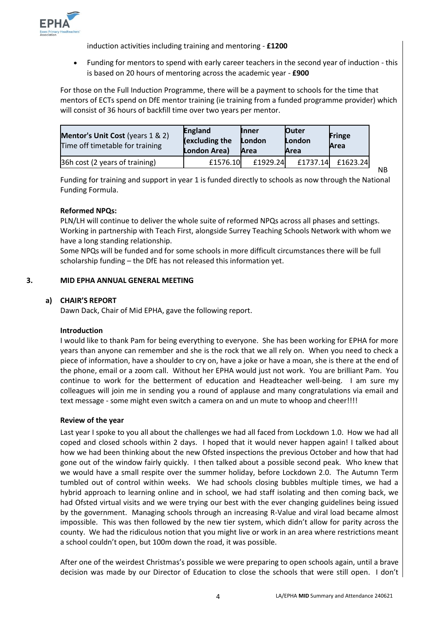

induction activities including training and mentoring - **£1200**

 Funding for mentors to spend with early career teachers in the second year of induction - this is based on 20 hours of mentoring across the academic year - **£900**

For those on the Full Induction Programme, there will be a payment to schools for the time that mentors of ECTs spend on DfE mentor training (ie training from a funded programme provider) which will consist of 36 hours of backfill time over two years per mentor.

| <b>Mentor's Unit Cost</b> (years 1 & 2)<br>Time off timetable for training | <b>England</b><br>$\sqrt{2}$ (excluding the $\sqrt{2}$<br>London Area) | <b>Inner</b><br>London<br>Area | <b>Outer</b><br>London<br>Area | <b>Fringe</b><br>Area |
|----------------------------------------------------------------------------|------------------------------------------------------------------------|--------------------------------|--------------------------------|-----------------------|
| 36h cost (2 years of training)                                             | £1576.10                                                               | £1929.24                       | £1737.14                       | £1623.24              |

NB

Funding for training and support in year 1 is funded directly to schools as now through the National Funding Formula.

#### **Reformed NPQs:**

PLN/LH will continue to deliver the whole suite of reformed NPQs across all phases and settings. Working in partnership with Teach First, alongside Surrey Teaching Schools Network with whom we have a long standing relationship.

Some NPQs will be funded and for some schools in more difficult circumstances there will be full scholarship funding – the DfE has not released this information yet.

#### **3. MID EPHA ANNUAL GENERAL MEETING**

# **a) CHAIR'S REPORT**

Dawn Dack, Chair of Mid EPHA, gave the following report.

#### **Introduction**

I would like to thank Pam for being everything to everyone. She has been working for EPHA for more years than anyone can remember and she is the rock that we all rely on. When you need to check a piece of information, have a shoulder to cry on, have a joke or have a moan, she is there at the end of the phone, email or a zoom call. Without her EPHA would just not work. You are brilliant Pam. You continue to work for the betterment of education and Headteacher well-being. I am sure my colleagues will join me in sending you a round of applause and many congratulations via email and text message - some might even switch a camera on and un mute to whoop and cheer!!!!

#### **Review of the year**

Last year I spoke to you all about the challenges we had all faced from Lockdown 1.0. How we had all coped and closed schools within 2 days. I hoped that it would never happen again! I talked about how we had been thinking about the new Ofsted inspections the previous October and how that had gone out of the window fairly quickly. I then talked about a possible second peak. Who knew that we would have a small respite over the summer holiday, before Lockdown 2.0. The Autumn Term tumbled out of control within weeks. We had schools closing bubbles multiple times, we had a hybrid approach to learning online and in school, we had staff isolating and then coming back, we had Ofsted virtual visits and we were trying our best with the ever changing guidelines being issued by the government. Managing schools through an increasing R-Value and viral load became almost impossible. This was then followed by the new tier system, which didn't allow for parity across the county. We had the ridiculous notion that you might live or work in an area where restrictions meant a school couldn't open, but 100m down the road, it was possible.

After one of the weirdest Christmas's possible we were preparing to open schools again, until a brave decision was made by our Director of Education to close the schools that were still open. I don't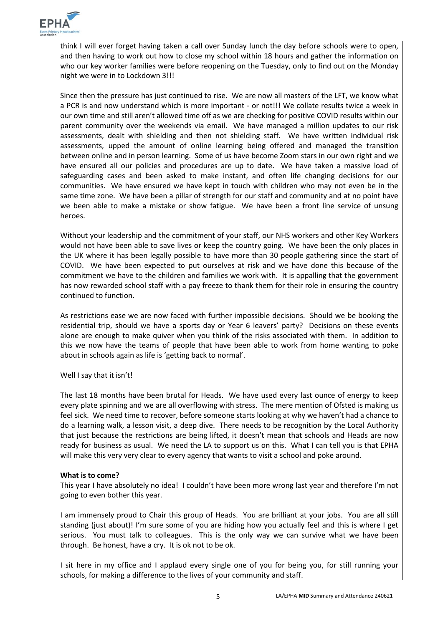

think I will ever forget having taken a call over Sunday lunch the day before schools were to open, and then having to work out how to close my school within 18 hours and gather the information on who our key worker families were before reopening on the Tuesday, only to find out on the Monday night we were in to Lockdown 3!!!

Since then the pressure has just continued to rise. We are now all masters of the LFT, we know what a PCR is and now understand which is more important - or not!!! We collate results twice a week in our own time and still aren't allowed time off as we are checking for positive COVID results within our parent community over the weekends via email. We have managed a million updates to our risk assessments, dealt with shielding and then not shielding staff. We have written individual risk assessments, upped the amount of online learning being offered and managed the transition between online and in person learning. Some of us have become Zoom stars in our own right and we have ensured all our policies and procedures are up to date. We have taken a massive load of safeguarding cases and been asked to make instant, and often life changing decisions for our communities. We have ensured we have kept in touch with children who may not even be in the same time zone. We have been a pillar of strength for our staff and community and at no point have we been able to make a mistake or show fatigue. We have been a front line service of unsung heroes.

Without your leadership and the commitment of your staff, our NHS workers and other Key Workers would not have been able to save lives or keep the country going. We have been the only places in the UK where it has been legally possible to have more than 30 people gathering since the start of COVID. We have been expected to put ourselves at risk and we have done this because of the commitment we have to the children and families we work with. It is appalling that the government has now rewarded school staff with a pay freeze to thank them for their role in ensuring the country continued to function.

As restrictions ease we are now faced with further impossible decisions. Should we be booking the residential trip, should we have a sports day or Year 6 leavers' party? Decisions on these events alone are enough to make quiver when you think of the risks associated with them. In addition to this we now have the teams of people that have been able to work from home wanting to poke about in schools again as life is 'getting back to normal'.

Well I say that it isn't!

The last 18 months have been brutal for Heads. We have used every last ounce of energy to keep every plate spinning and we are all overflowing with stress. The mere mention of Ofsted is making us feel sick. We need time to recover, before someone starts looking at why we haven't had a chance to do a learning walk, a lesson visit, a deep dive. There needs to be recognition by the Local Authority that just because the restrictions are being lifted, it doesn't mean that schools and Heads are now ready for business as usual. We need the LA to support us on this. What I can tell you is that EPHA will make this very very clear to every agency that wants to visit a school and poke around.

#### **What is to come?**

This year I have absolutely no idea! I couldn't have been more wrong last year and therefore I'm not going to even bother this year.

I am immensely proud to Chair this group of Heads. You are brilliant at your jobs. You are all still standing (just about)! I'm sure some of you are hiding how you actually feel and this is where I get serious. You must talk to colleagues. This is the only way we can survive what we have been through. Be honest, have a cry. It is ok not to be ok.

I sit here in my office and I applaud every single one of you for being you, for still running your schools, for making a difference to the lives of your community and staff.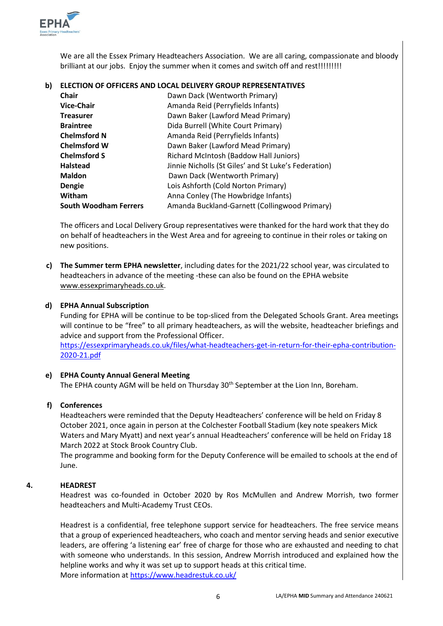

We are all the Essex Primary Headteachers Association. We are all caring, compassionate and bloody brilliant at our jobs. Enjoy the summer when it comes and switch off and rest!!!!!!!!!

### **b) ELECTION OF OFFICERS AND LOCAL DELIVERY GROUP REPRESENTATIVES**

| Chair                        | Dawn Dack (Wentworth Primary)                        |
|------------------------------|------------------------------------------------------|
| <b>Vice-Chair</b>            | Amanda Reid (Perryfields Infants)                    |
| <b>Treasurer</b>             | Dawn Baker (Lawford Mead Primary)                    |
| <b>Braintree</b>             | Dida Burrell (White Court Primary)                   |
| <b>Chelmsford N</b>          | Amanda Reid (Perryfields Infants)                    |
| <b>Chelmsford W</b>          | Dawn Baker (Lawford Mead Primary)                    |
| <b>Chelmsford S</b>          | Richard McIntosh (Baddow Hall Juniors)               |
| <b>Halstead</b>              | Jinnie Nicholls (St Giles' and St Luke's Federation) |
| <b>Maldon</b>                | Dawn Dack (Wentworth Primary)                        |
| Dengie                       | Lois Ashforth (Cold Norton Primary)                  |
| Witham                       | Anna Conley (The Howbridge Infants)                  |
| <b>South Woodham Ferrers</b> | Amanda Buckland-Garnett (Collingwood Primary)        |

The officers and Local Delivery Group representatives were thanked for the hard work that they do on behalf of headteachers in the West Area and for agreeing to continue in their roles or taking on new positions.

**c) The Summer term EPHA newsletter**, including dates for the 2021/22 school year, was circulated to headteachers in advance of the meeting -these can also be found on the EPHA website [www.essexprimaryheads.co.uk.](http://www.essexprimaryheads.co.uk/)

#### **d) EPHA Annual Subscription**

Funding for EPHA will be continue to be top-sliced from the Delegated Schools Grant. Area meetings will continue to be "free" to all primary headteachers, as will the website, headteacher briefings and advice and support from the Professional Officer. [https://essexprimaryheads.co.uk/files/what-headteachers-get-in-return-for-their-epha-contribution-](https://essexprimaryheads.co.uk/files/what-headteachers-get-in-return-for-their-epha-contribution-2020-21.pdf)[2020-21.pdf](https://essexprimaryheads.co.uk/files/what-headteachers-get-in-return-for-their-epha-contribution-2020-21.pdf)

### **e) EPHA County Annual General Meeting**

The EPHA county AGM will be held on Thursday 30<sup>th</sup> September at the Lion Inn, Boreham.

#### **f) Conferences**

Headteachers were reminded that the Deputy Headteachers' conference will be held on Friday 8 October 2021, once again in person at the Colchester Football Stadium (key note speakers Mick Waters and Mary Myatt) and next year's annual Headteachers' conference will be held on Friday 18 March 2022 at Stock Brook Country Club.

The programme and booking form for the Deputy Conference will be emailed to schools at the end of June.

#### **4. HEADREST**

Headrest was co-founded in October 2020 by Ros McMullen and Andrew Morrish, two former headteachers and Multi-Academy Trust CEOs.

Headrest is a confidential, free telephone support service for headteachers. The free service means that a group of experienced headteachers, who coach and mentor serving heads and senior executive leaders, are offering 'a listening ear' free of charge for those who are exhausted and needing to chat with someone who understands. In this session, Andrew Morrish introduced and explained how the helpline works and why it was set up to support heads at this critical time. More information at<https://www.headrestuk.co.uk/>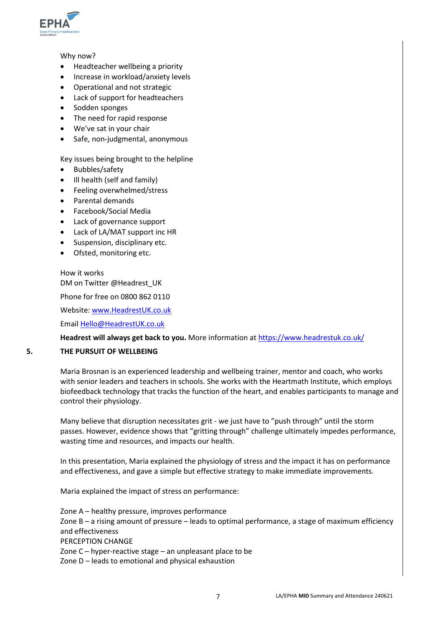

#### Why now?

- Headteacher wellbeing a priority
- Increase in workload/anxiety levels
- Operational and not strategic
- Lack of support for headteachers
- Sodden sponges
- The need for rapid response
- We've sat in your chair
- Safe, non-judgmental, anonymous

#### Key issues being brought to the helpline

- Bubbles/safety
- Ill health (self and family)
- Feeling overwhelmed/stress
- Parental demands
- Facebook/Social Media
- Lack of governance support
- Lack of LA/MAT support inc HR
- Suspension, disciplinary etc.
- Ofsted, monitoring etc.

How it works DM on Twitter @Headrest\_UK

Phone for free on 0800 862 0110

Website[: www.HeadrestUK.co.uk](http://www.headrestuk.co.uk/)

Email [Hello@HeadrestUK.co.uk](mailto:Hello@HeadrestUK.co.uk)

#### **Headrest will always get back to you.** More information at<https://www.headrestuk.co.uk/>

#### **5. THE PURSUIT OF WELLBEING**

Maria Brosnan is an experienced leadership and wellbeing trainer, mentor and coach, who works with senior leaders and teachers in schools. She works with the Heartmath Institute, which employs biofeedback technology that tracks the function of the heart, and enables participants to manage and control their physiology.

Many believe that disruption necessitates grit - we just have to "push through" until the storm passes. However, evidence shows that "gritting through" challenge ultimately impedes performance, wasting time and resources, and impacts our health.

In this presentation, Maria explained the physiology of stress and the impact it has on performance and effectiveness, and gave a simple but effective strategy to make immediate improvements.

Maria explained the impact of stress on performance:

Zone A – healthy pressure, improves performance Zone B – a rising amount of pressure – leads to optimal performance, a stage of maximum efficiency and effectiveness PERCEPTION CHANGE Zone C – hyper-reactive stage – an unpleasant place to be Zone D – leads to emotional and physical exhaustion